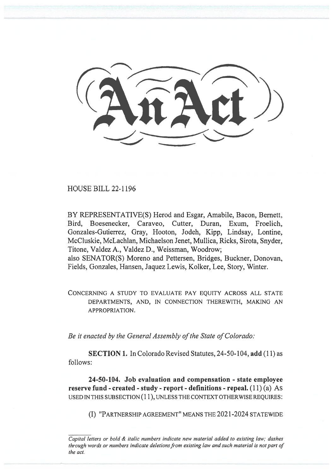HOUSE BILL 22-1196

BY REPRESENTATIVE(S) Herod and Esgar, Amabile, Bacon, Bernett, Bird, Boesenecker, Caraveo, Cutter, Duran, Exum, Froelich, Gonzales-Gutierrez, Gray, Hooton, Jodeh, Kipp, Lindsay, Lontine, McCluskie, McLachlan, Michaelson Jenet, Mullica, Ricks, Sirota, Snyder, Titone, Valdez A., Valdez D., Weissman, Woodrow; also SENATOR(S) Moreno and Pettersen, Bridges, Buckner, Donovan, Fields, Gonzales, Hansen, Jaquez Lewis, Kolker, Lee, Story, Winter.

CONCERNING A STUDY TO EVALUATE PAY EQUITY ACROSS ALL STATE DEPARTMENTS, AND, IN CONNECTION THEREWITH, MAKING AN APPROPRIATION.

Be it enacted by the General Assembly of the State of Colorado:

SECTION 1. In Colorado Revised Statutes, 24-50-104, add (11) as follows:

24-50-104. Job evaluation and compensation - state employee reserve fund - created - study - report - definitions - repeal. (11) (a) As USED IN THIS SUBSECTION (11), UNLESS THE CONTEXT OTHERWISE REQUIRES:

(I) "PARTNERSHIP AGREEMENT" MEANS THE 2021-2024 STATEWIDE

Capital letters or bold & italic numbers indicate new material added to existing law; dashes through words or numbers indicate deletions from existing law and such material is not part of the act.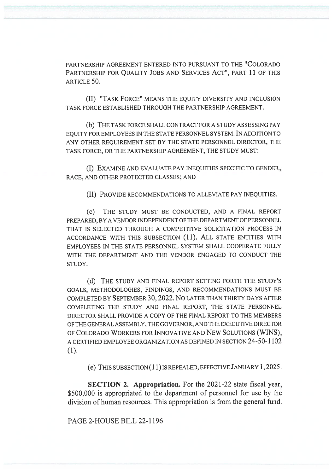PARTNERSHIP AGREEMENT ENTERED INTO PURSUANT TO THE "COLORADO PARTNERSHIP FOR QUALITY JOBS AND SERVICES ACT", PART 11 OF THIS ARTICLE 50.

(II) "TASK FORCE" MEANS THE EQUITY DIVERSITY AND INCLUSION TASK FORCE ESTABLISHED THROUGH THE PARTNERSHIP AGREEMENT.

(b) THE TASK FORCE SHALL CONTRACT FOR A STUDY ASSESSING PAY EQUITY FOR EMPLOYEES IN THE STATE PERSONNEL SYSTEM. IN ADDITION TO ANY OTHER REQUIREMENT SET BY THE STATE PERSONNEL DIRECTOR, THE TASK FORCE, OR THE PARTNERSHIP AGREEMENT, THE STUDY MUST:

(I) EXAMINE AND EVALUATE PAY INEQUITIES SPECIFIC TO GENDER, RACE, AND OTHER PROTECTED CLASSES; AND

(II) PROVIDE RECOMMENDATIONS TO ALLEVIATE PAY INEQUITIES.

(C) THE STUDY MUST BE CONDUCTED, AND A FINAL REPORT PREPARED, BY A VENDOR INDEPENDENT OF THE DEPARTMENT OF PERSONNEL THAT IS SELECTED THROUGH A COMPETITIVE SOLICITATION PROCESS IN ACCORDANCE WITH THIS SUBSECTION (11). ALL STATE ENTITIES WITH EMPLOYEES IN THE STATE PERSONNEL SYSTEM SHALL COOPERATE FULLY WITH THE DEPARTMENT AND THE VENDOR ENGAGED TO CONDUCT THE STUDY.

(d) THE STUDY AND FINAL REPORT SETTING FORTH THE STUDY'S GOALS, METHODOLOGIES, FINDINGS, AND RECOMMENDATIONS MUST BE COMPLETED BY SEPTEMBER 30, 2022. No LATER THAN THIRTY DAYS AFTER COMPLETING THE STUDY AND FINAL REPORT, THE STATE PERSONNEL DIRECTOR SHALL PROVIDE A COPY OF THE FINAL REPORT TO THE MEMBERS OF THE GENERAL ASSEMBLY, THE GOVERNOR, AND THE EXECUTIVE DIRECTOR OF COLORADO WORKERS FOR INNOVATIVE AND NEW SOLUTIONS (WINS), A CERTIFIED EMPLOYEE ORGANIZATION AS DEFINED IN SECTION 24-50-1102 (1).

(e) THIS SUBSECTION (11) IS REPEALED, EFFECTIVE JANUARY 1,2025.

SECTION 2. Appropriation. For the 2021-22 state fiscal year, \$500,000 is appropriated to the department of personnel for use by the division of human resources. This appropriation is from the general fund.

PAGE 2-HOUSE BILL 22-1196